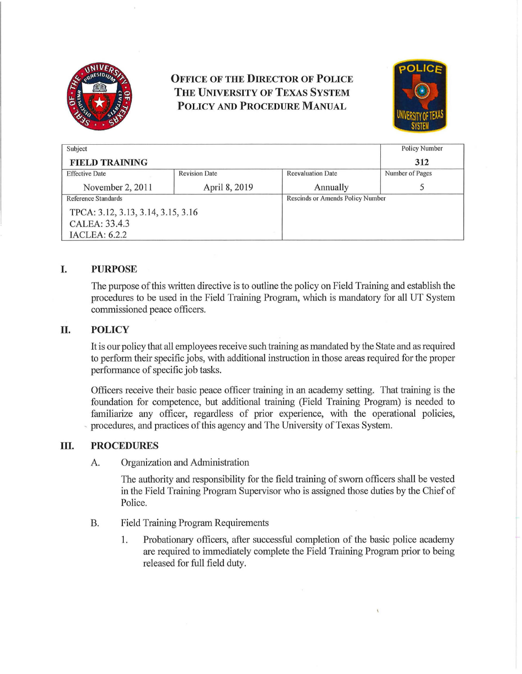

# **OFFICE OF THE DIRECTOR OF POLICE THE UNIVERSITY OF TEXAS SYSTEM POLICY AND PROCEDURE MANUAL**



| Subject                            |                      |                          | <b>Policy Number</b>             |  |
|------------------------------------|----------------------|--------------------------|----------------------------------|--|
| <b>FIELD TRAINING</b>              |                      |                          | 312                              |  |
| <b>Effective Date</b>              | <b>Revision Date</b> | <b>Reevaluation Date</b> | Number of Pages                  |  |
| November 2, 2011                   | April 8, 2019        | Annually                 |                                  |  |
| Reference Standards                |                      |                          | Rescinds or Amends Policy Number |  |
| TPCA: 3.12, 3.13, 3.14, 3.15, 3.16 |                      |                          |                                  |  |
| CALEA: 33.4.3                      |                      |                          |                                  |  |
| <b>IACLEA: 6.2.2</b>               |                      |                          |                                  |  |

## **I. PURPOSE**

The purpose of this written directive is to outline the policy on Field Training and establish the procedures to be used in the Field Training Program, which is mandatory for all UT System commissioned peace officers.

## **II. POLICY**

It is our policy that all employees receive such training as mandated by the State and as required to perform their specific jobs, with additional instruction in those areas required for the proper performance of specific job tasks.

Officers receive their basic peace officer training in an academy setting. That training is the foundation for competence, but additional training (Field Training Program) is needed to familiarize any officer, regardless of prior experience, with the operational policies, procedures, and practices of this agency and The University of Texas System.

#### **ill. PROCEDURES**

A. Organization and Administration

The authority and responsibility for the field training of sworn officers shall be vested in the Field Training Program Supervisor who is assigned those duties by the Chief of Police.

- B. Field Training Program Requirements
	- 1. Probationary officers, after successful completion of the basic police academy are required to immediately complete the Field Training Program prior to being released for full field duty.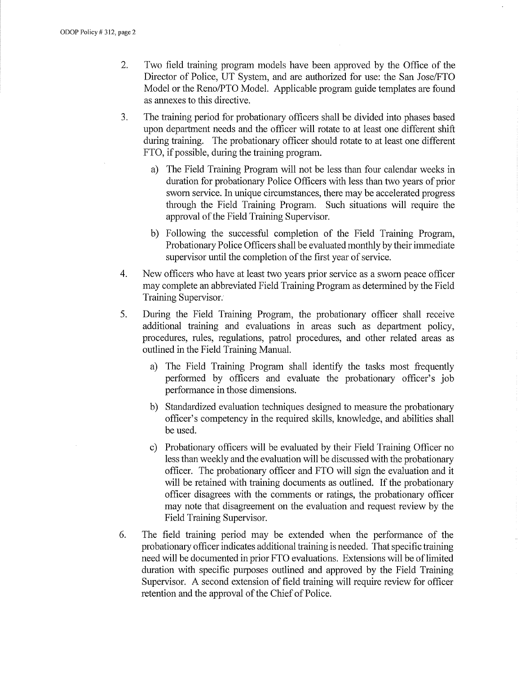- 2. Two field training program models have been approved by the Office of the Director of Police, UT System, and are authorized for use: the San Jose/FTO Model or the Reno/PTO Model. Applicable program guide templates are found as annexes to this directive.
- 3. The training period for probationary officers shall be divided into phases based upon department needs and the officer will rotate to at least one different shift during training. The probationary officer should rotate to at least one different FTO, if possible, during the training program.
	- a) The Field Training Program will not be less than four calendar weeks in duration for probationary Police Officers with less than two years of prior sworn service. In unique circumstances, there may be accelerated progress through the Field Training Program. Such situations will require the approval of the Field Training Supervisor.
	- b) Following the successful completion of the Field Training Program, Probationary Police Officers shall be evaluated monthly by their immediate supervisor until the completion of the first year of service.
- 4. New officers who have at least two years prior service as a sworn peace officer may complete an abbreviated Field Training Program as determined by the Field Training Supervisor.
- 5. During the Field Training Program, the probationary officer shall receive additional training and evaluations in areas such as department policy, procedures, rules, regulations, patrol procedures, and other related areas as outlined in the Field Training Manual.
	- a) The Field Training Program shall identify the tasks most frequently performed by officers and evaluate the probationary officer's job performance in those dimensions.
	- b) Standardized evaluation techniques designed to measure the probationary officer's competency in the required skills, knowledge, and abilities shall be used.
	- c) Probationary officers will be evaluated by their Field Training Officer no less than weekly and the evaluation will be discussed with the probationary officer. The probationary officer and FTO will sign the evaluation and it will be retained with training documents as outlined. If the probationary officer disagrees with the comments or ratings, the probationary officer may note that disagreement on the evaluation and request review by the Field Training Supervisor.
- 6. The field training period may be extended when the performance of the probationary officer indicates additional training is needed. That specific training need will be documented in prior FTO evaluations. Extensions will be of limited duration with specific purposes outlined and approved by the Field Training Supervisor. A second extension of field training will require review for officer retention and the approval of the Chief of Police.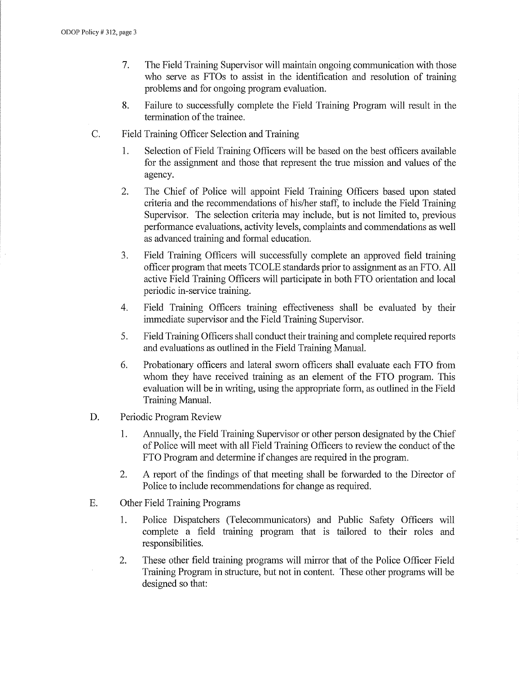- 7. The Field Training Supervisor will maintain ongoing communication with those who serve as FTOs to assist in the identification and resolution of training problems and for ongoing program evaluation.
- 8. Failure to successfully complete the Field Training Program will result in the termination of the trainee.
- C. Field Training Officer Selection and Training
	- 1. Selection of Field Training Officers will be based on the best officers available for the assignment and those that represent the true mission and values of the agency.
	- 2. The Chief of Police will appoint Field Training Officers based upon stated criteria and the recommendations of his/her staff, to include the Field Training Supervisor. The selection criteria may include, but is not limited to, previous performance evaluations, activity levels, complaints and commendations as well as advanced training and formal education.
	- 3. Field Training Officers will successfully complete an approved field training officer program that meets TCOLE standards prior to assignment as an FTO. All active Field Training Officers will participate in both FTO orientation and local periodic in-service training.
	- 4. Field Training Officers training effectiveness shall be evaluated by their immediate supervisor and the Field Training Supervisor.
	- 5. Field Training Officers shall conduct their training and complete required reports and evaluations as outlined in the Field Training Manual.
	- 6. Probationary officers and lateral sworn officers shall evaluate each FTO from whom they have received training as an element of the FTO program. This evaluation will be in writing, using the appropriate form, as outlined in the Field Training Manual.
- D. Periodic Program Review
	- 1. Annually, the Field Training Supervisor or other person designated by the Chief of Police will meet with all Field Training Officers to review the conduct of the FTO Program and determine if changes are required in the program.
	- 2. A report of the findings of that meeting shall be forwarded to the Director of Police to include recommendations for change as required.
- E. Other Field Training Programs
	- 1. Police Dispatchers (Telecommunicators) and Public Safety Officers will complete a field training program that is tailored to their roles and responsibilities.
	- 2. These other field training programs will mirror that of the Police Officer Field Training Program in structure, but not in content. These other programs will be designed so that: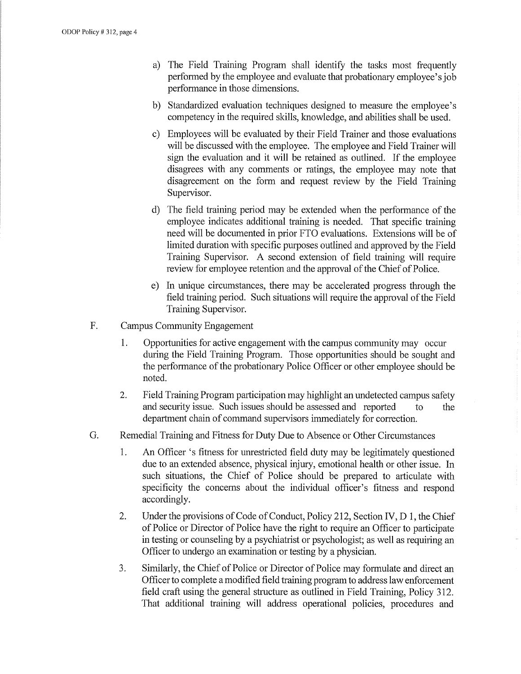- a) The Field Training Program shall identify the tasks most frequently performed by the employee and evaluate that probationary employee's job performance in those dimensions.
- b) Standardized evaluation techniques designed to measure the employee's competency in the required skills, knowledge, and abilities shall be used.
- c) Employees will be evaluated by their Field Trainer and those evaluations will be discussed with the employee. The employee and Field Trainer will sign the evaluation and it will be retained as outlined. If the employee disagrees with any comments or ratings, the employee may note that disagreement on the form and request review by the Field Training Supervisor.
- d) The field training period may be extended when the performance of the employee indicates additional training is needed. That specific training need will be documented in prior FTO evaluations. Extensions will be of limited duration with specific purposes outlined and approved by the Field Training Supervisor. A second extension of field training will require review for employee retention and the approval of the Chief of Police.
- e) In unique circumstances, there may be accelerated progress through the field training period. Such situations will require the approval of the Field Training Supervisor.
- F. Campus Community Engagement
	- 1. Opportunities for active engagement with the campus community may occur during the Field Training Program. Those opportunities should be sought and the performance of the probationary Police Officer or other employee should be noted.
	- 2. Field Training Program participation may highlight an undetected campus safety and security issue. Such issues should be assessed and reported to the department chain of command supervisors immediately for correction.
- G. Remedial Training and Fitness for Duty Due to Absence or Other Circumstances
	- 1. An Officer 's fitness for unrestricted field duty may be legitimately questioned due to an extended absence, physical injury, emotional health or other issue. In such situations, the Chief of Police should be prepared to articulate with specificity the concerns about the individual officer's fitness and respond accordingly.
	- 2. Under the provisions of Code of Conduct, Policy 212, Section IV, D 1, the Chief of Police or Director of Police have the right to require an Officer to pmticipate in testing or counseling by a psychiatrist or psychologist; as well as requiring an Officer to undergo an examination or testing by a physician.
	- 3. Similarly, the Chief of Police or Director of Police may formulate and direct an Officer to complete a modified field training program to address law enforcement field craft using the general structure as outlined in Field Training, Policy 312. That additional training will address operational policies, procedures and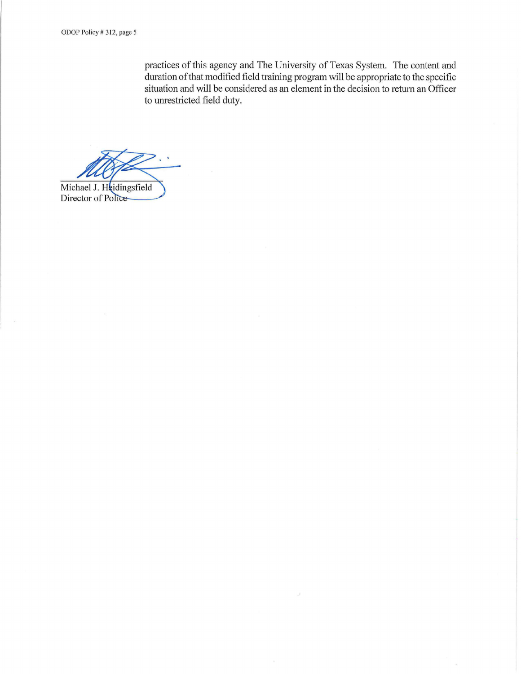practices of this agency and The University of Texas System. The content and duration ofthat modified field training program will be appropriate to the specific situation and will be considered as an element in the decision to return an Officer to umestricted field duty.

 $\overline{\mathcal{L}}$ 

Michael J. Heidingsfield

Director of Police